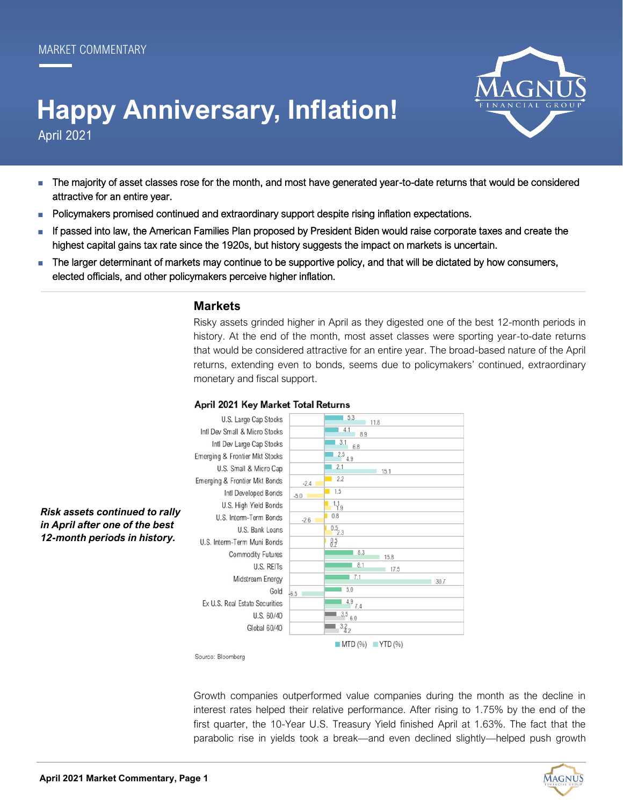# April 2021 **Happy Anniversary, Inflation!**



- The majority of asset classes rose for the month, and most have generated year-to-date returns that would be considered attractive for an entire year.
- Policymakers promised continued and extraordinary support despite rising inflation expectations.
- If passed into law, the American Families Plan proposed by President Biden would raise corporate taxes and create the highest capital gains tax rate since the 1920s, but history suggests the impact on markets is uncertain.
- The larger determinant of markets may continue to be supportive policy, and that will be dictated by how consumers, elected officials, and other policymakers perceive higher inflation.

## **Markets**

Risky assets grinded higher in April as they digested one of the best 12-month periods in history. At the end of the month, most asset classes were sporting year-to-date returns that would be considered attractive for an entire year. The broad-based nature of the April returns, extending even to bonds, seems due to policymakers' continued, extraordinary monetary and fiscal support.



#### April 2021 Key Market Total Returns

Source: Bloomberg

Growth companies outperformed value companies during the month as the decline in interest rates helped their relative performance. After rising to 1.75% by the end of the first quarter, the 10-Year U.S. Treasury Yield finished April at 1.63%. The fact that the parabolic rise in yields took a break—and even declined slightly—helped push growth



*in April after one of the best 12-month periods in history.*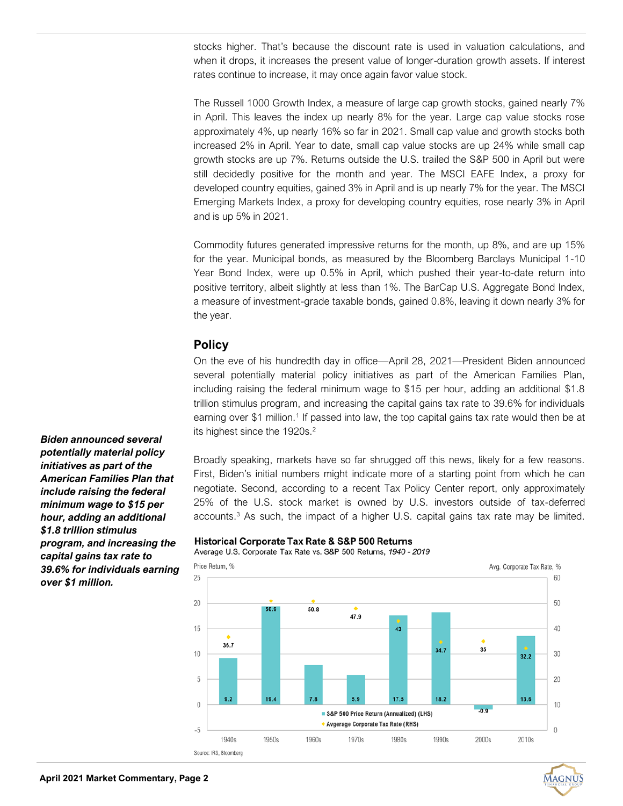stocks higher. That's because the discount rate is used in valuation calculations, and when it drops, it increases the present value of longer-duration growth assets. If interest rates continue to increase, it may once again favor value stock.

The Russell 1000 Growth Index, a measure of large cap growth stocks, gained nearly 7% in April. This leaves the index up nearly 8% for the year. Large cap value stocks rose approximately 4%, up nearly 16% so far in 2021. Small cap value and growth stocks both increased 2% in April. Year to date, small cap value stocks are up 24% while small cap growth stocks are up 7%. Returns outside the U.S. trailed the S&P 500 in April but were still decidedly positive for the month and year. The MSCI EAFE Index, a proxy for developed country equities, gained 3% in April and is up nearly 7% for the year. The MSCI Emerging Markets Index, a proxy for developing country equities, rose nearly 3% in April and is up 5% in 2021.

Commodity futures generated impressive returns for the month, up 8%, and are up 15% for the year. Municipal bonds, as measured by the Bloomberg Barclays Municipal 1-10 Year Bond Index, were up 0.5% in April, which pushed their year-to-date return into positive territory, albeit slightly at less than 1%. The BarCap U.S. Aggregate Bond Index, a measure of investment-grade taxable bonds, gained 0.8%, leaving it down nearly 3% for the year.

# **Policy**

On the eve of his hundredth day in office—April 28, 2021—President Biden announced several potentially material policy initiatives as part of the American Families Plan, including raising the federal minimum wage to \$15 per hour, adding an additional \$1.8 trillion stimulus program, and increasing the capital gains tax rate to 39.6% for individuals earning over \$1 million.<sup>1</sup> If passed into law, the top capital gains tax rate would then be at its highest since the 1920s.<sup>2</sup>

Broadly speaking, markets have so far shrugged off this news, likely for a few reasons. First, Biden's initial numbers might indicate more of a starting point from which he can negotiate. Second, according to a recent Tax Policy Center report, only approximately 25% of the U.S. stock market is owned by U.S. investors outside of tax-deferred  $accounts<sup>3</sup>$  As such, the impact of a higher U.S. capital gains tax rate may be limited.

## Historical Corporate Tax Rate & S&P 500 Returns

Average U.S. Corporate Tax Rate vs. S&P 500 Returns, 1940 - 2019



**MAGNUS** 

*Biden announced several potentially material policy initiatives as part of the American Families Plan that include raising the federal minimum wage to \$15 per hour, adding an additional \$1.8 trillion stimulus program, and increasing the capital gains tax rate to 39.6% for individuals earning over \$1 million.*

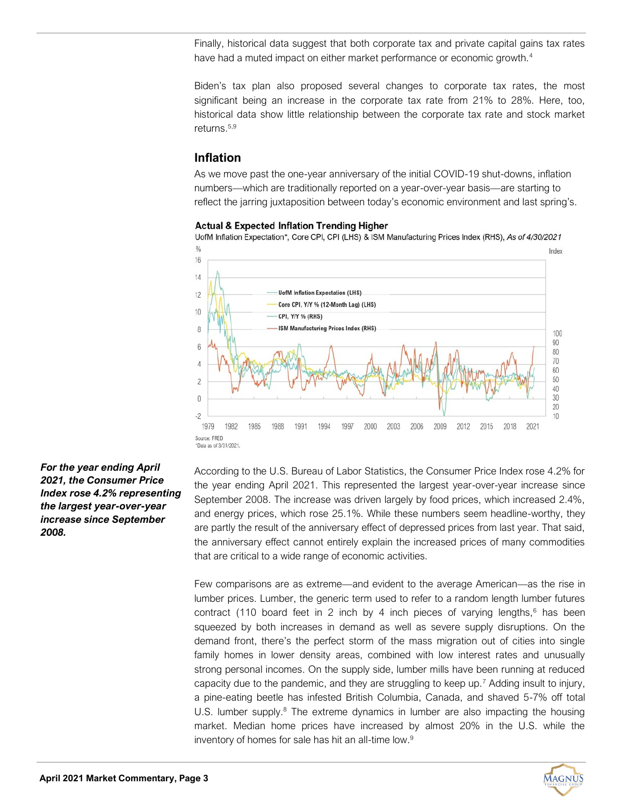Finally, historical data suggest that both corporate tax and private capital gains tax rates have had a muted impact on either market performance or economic growth.<sup>4</sup>

Biden's tax plan also proposed several changes to corporate tax rates, the most significant being an increase in the corporate tax rate from 21% to 28%. Here, too, historical data show little relationship between the corporate tax rate and stock market returns.5,9

# **Inflation**

As we move past the one-year anniversary of the initial COVID-19 shut-downs, inflation numbers—which are traditionally reported on a year-over-year basis—are starting to reflect the jarring juxtaposition between today's economic environment and last spring's.

#### **Actual & Expected Inflation Trending Higher**

UofM Inflation Expectation\*, Core CPI, CPI (LHS) & ISM Manufacturing Prices Index (RHS), As of 4/30/2021



According to the U.S. Bureau of Labor Statistics, the Consumer Price Index rose 4.2% for the year ending April 2021. This represented the largest year-over-year increase since September 2008. The increase was driven largely by food prices, which increased 2.4%, and energy prices, which rose 25.1%. While these numbers seem headline-worthy, they are partly the result of the anniversary effect of depressed prices from last year. That said, the anniversary effect cannot entirely explain the increased prices of many commodities that are critical to a wide range of economic activities.

Few comparisons are as extreme—and evident to the average American—as the rise in lumber prices. Lumber, the generic term used to refer to a random length lumber futures contract (110 board feet in 2 inch by 4 inch pieces of varying lengths, $6$  has been squeezed by both increases in demand as well as severe supply disruptions. On the demand front, there's the perfect storm of the mass migration out of cities into single family homes in lower density areas, combined with low interest rates and unusually strong personal incomes. On the supply side, lumber mills have been running at reduced capacity due to the pandemic, and they are struggling to keep up.<sup>7</sup> Adding insult to injury, a pine-eating beetle has infested British Columbia, Canada, and shaved 5-7% off total U.S. lumber supply. $8$  The extreme dynamics in lumber are also impacting the housing market. Median home prices have increased by almost 20% in the U.S. while the inventory of homes for sale has hit an all-time low.<sup>9</sup>



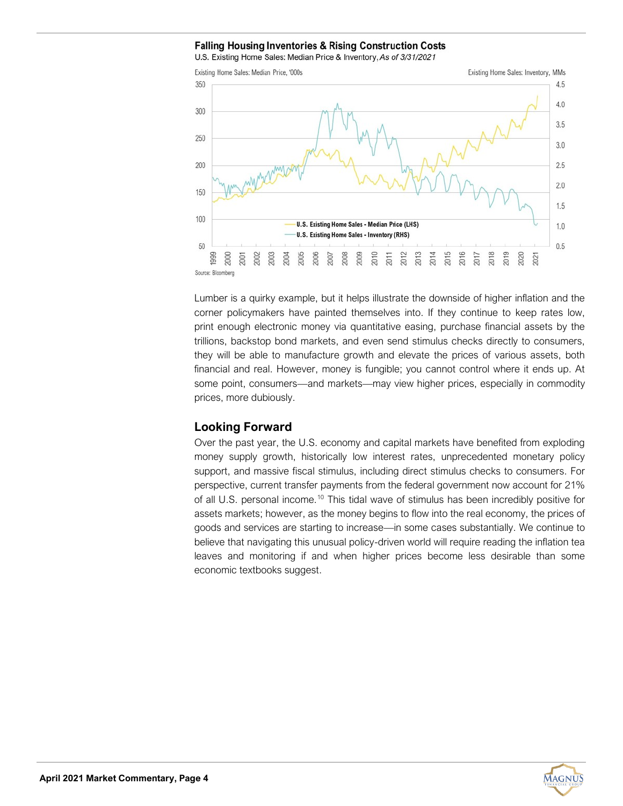## **Falling Housing Inventories & Rising Construction Costs**

U.S. Existing Home Sales: Median Price & Inventory, As of 3/31/2021



Lumber is a quirky example, but it helps illustrate the downside of higher inflation and the corner policymakers have painted themselves into. If they continue to keep rates low, print enough electronic money via quantitative easing, purchase financial assets by the trillions, backstop bond markets, and even send stimulus checks directly to consumers, they will be able to manufacture growth and elevate the prices of various assets, both financial and real. However, money is fungible; you cannot control where it ends up. At some point, consumers—and markets—may view higher prices, especially in commodity prices, more dubiously.

# **Looking Forward**

Over the past year, the U.S. economy and capital markets have benefited from exploding money supply growth, historically low interest rates, unprecedented monetary policy support, and massive fiscal stimulus, including direct stimulus checks to consumers. For perspective, current transfer payments from the federal government now account for 21% of all U.S. personal income.<sup>10</sup> This tidal wave of stimulus has been incredibly positive for assets markets; however, as the money begins to flow into the real economy, the prices of goods and services are starting to increase—in some cases substantially. We continue to believe that navigating this unusual policy-driven world will require reading the inflation tea leaves and monitoring if and when higher prices become less desirable than some economic textbooks suggest.

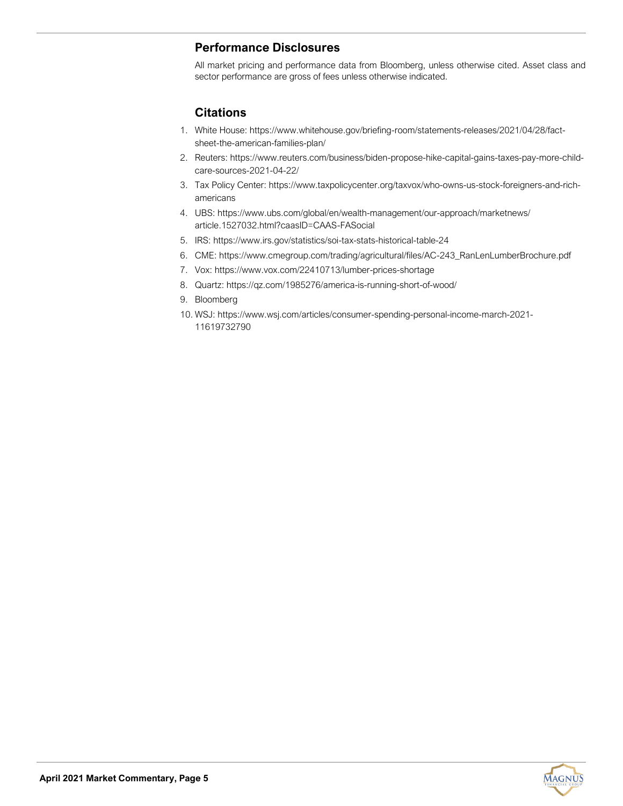# **Performance Disclosures**

All market pricing and performance data from Bloomberg, unless otherwise cited. Asset class and sector performance are gross of fees unless otherwise indicated.

# **Citations**

- 1. White House: https://www.whitehouse.gov/briefing-room/statements-releases/2021/04/28/factsheet-the-american-families-plan/
- 2. Reuters: https://www.reuters.com/business/biden-propose-hike-capital-gains-taxes-pay-more-childcare-sources-2021-04-22/
- 3. Tax Policy Center: https://www.taxpolicycenter.org/taxvox/who-owns-us-stock-foreigners-and-richamericans
- 4. UBS: https://www.ubs.com/global/en/wealth-management/our-approach/marketnews/ article.1527032.html?caasID=CAAS-FASocial
- 5. IRS: https://www.irs.gov/statistics/soi-tax-stats-historical-table-24
- 6. CME: https://www.cmegroup.com/trading/agricultural/files/AC-243\_RanLenLumberBrochure.pdf
- 7. Vox: [https://www.vox.com/22410713/lumber](https://www.vox.com/22410713/lumber-prices-shortage)-prices-shortage
- 8. Quartz: https://qz.com/1985276/america-is-running-short-of-wood/
- 9. Bloomberg
- 10. WSJ: https://www.wsj.com/articles/consumer-spending-personal-income-march-2021- 11619732790